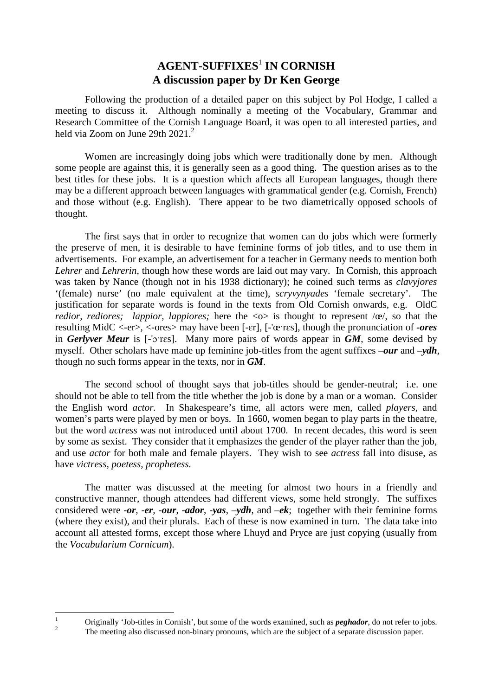# **AGENT-SUFFIXES**<sup>1</sup>  **IN CORNISH A discussion paper by Dr Ken George**

 Following the production of a detailed paper on this subject by Pol Hodge, I called a meeting to discuss it. Although nominally a meeting of the Vocabulary, Grammar and Research Committee of the Cornish Language Board, it was open to all interested parties, and held via Zoom on June 29th  $2021<sup>2</sup>$ 

Women are increasingly doing jobs which were traditionally done by men. Although some people are against this, it is generally seen as a good thing. The question arises as to the best titles for these jobs. It is a question which affects all European languages, though there may be a different approach between languages with grammatical gender (e.g. Cornish, French) and those without (e.g. English). There appear to be two diametrically opposed schools of thought.

The first says that in order to recognize that women can do jobs which were formerly the preserve of men, it is desirable to have feminine forms of job titles, and to use them in advertisements. For example, an advertisement for a teacher in Germany needs to mention both *Lehrer* and *Lehrerin*, though how these words are laid out may vary. In Cornish, this approach was taken by Nance (though not in his 1938 dictionary); he coined such terms as *clavyjores* '(female) nurse' (no male equivalent at the time), *scryvynyades* 'female secretary'. The justification for separate words is found in the texts from Old Cornish onwards, e.g. OldC *redior, rediores; lappior, lappiores;* here the  $\langle \infty \rangle$  is thought to represent  $\langle \infty \rangle$ , so that the resulting MidC <-er>, <-ores> may have been [-ɛr], [-'œˑrɛs], though the pronunciation of *-ores* in *Gerlyver Meur* is [-'ɔˑrɛs]. Many more pairs of words appear in *GM*, some devised by myself. Other scholars have made up feminine job-titles from the agent suffixes –*our* and –*ydh*, though no such forms appear in the texts, nor in *GM*.

The second school of thought says that job-titles should be gender-neutral; i.e. one should not be able to tell from the title whether the job is done by a man or a woman. Consider the English word *actor.* In Shakespeare's time, all actors were men, called *players*, and women's parts were played by men or boys. In 1660, women began to play parts in the theatre, but the word *actress* was not introduced until about 1700. In recent decades, this word is seen by some as sexist. They consider that it emphasizes the gender of the player rather than the job, and use *actor* for both male and female players. They wish to see *actress* fall into disuse, as have *victress, poetess, prophetess.* 

 The matter was discussed at the meeting for almost two hours in a friendly and constructive manner, though attendees had different views, some held strongly. The suffixes considered were -*or, -er,* -*our*, -*ador*, -*yas*, –*ydh*, and –*ek*; together with their feminine forms (where they exist), and their plurals. Each of these is now examined in turn. The data take into account all attested forms, except those where Lhuyd and Pryce are just copying (usually from the *Vocabularium Cornicum*).

 $\overline{a}$ 

<sup>1</sup> Originally 'Job-titles in Cornish', but some of the words examined, such as *peghador*, do not refer to jobs.  $\overline{2}$ 

The meeting also discussed non-binary pronouns, which are the subject of a separate discussion paper.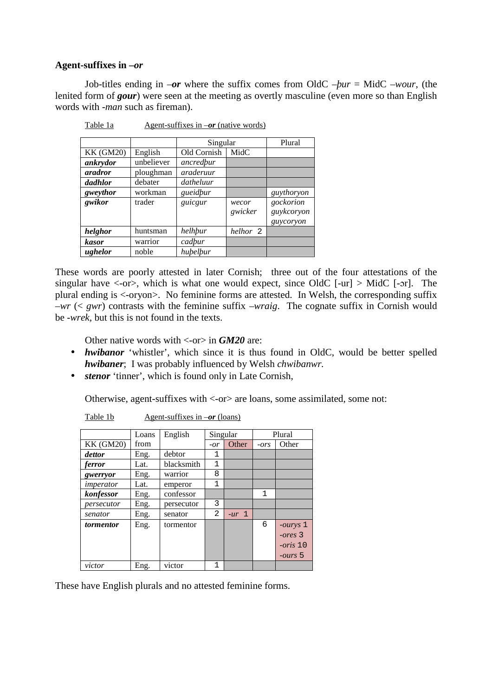### **Agent-suffixes in –***or*

Job-titles ending in –*or* where the suffix comes from OldC –*þur* = MidC –*wour*, (the lenited form of *gour*) were seen at the meeting as overtly masculine (even more so than English words with *-man* such as fireman).

|                  |            | Singular    | Plural           |                                      |
|------------------|------------|-------------|------------------|--------------------------------------|
| <b>KK (GM20)</b> | English    | Old Cornish | MidC             |                                      |
| ankrydor         | unbeliever | ancredbur   |                  |                                      |
| <i>aradror</i>   | ploughman  | araderuur   |                  |                                      |
| dadhlor          | debater    | datheluur   |                  |                                      |
| gweythor         | workman    | gueidpur    |                  | guythoryon                           |
| gwikor           | trader     | guicgur     | wecor<br>gwicker | gockorion<br>guykcoryon<br>guycoryon |
| helghor          | huntsman   | helhbur     | helhor 2         |                                      |
| <b>kasor</b>     | warrior    | cadbur      |                  |                                      |
| ughelor          | noble      | hubelbur    |                  |                                      |

Table 1a Agent-suffixes in  $-$ *or* (native words)

These words are poorly attested in later Cornish; three out of the four attestations of the singular have  $\langle -\text{or} \rangle$ , which is what one would expect, since OldC [-ur]  $>$  MidC [-or]. The plural ending is <-oryon>. No feminine forms are attested. In Welsh, the corresponding suffix –*wr* (< *gwr*) contrasts with the feminine suffix –*wraig*. The cognate suffix in Cornish would be -*wrek,* but this is not found in the texts.

Other native words with <-or> in *GM20* are:

- *hwibanor* 'whistler', which since it is thus found in OldC, would be better spelled *hwibaner*; I was probably influenced by Welsh *chwibanwr.*
- *stenor* 'tinner', which is found only in Late Cornish,

Otherwise, agent-suffixes with <-or> are loans, some assimilated, some not:

|                  | Loans | English    | Singular       |         |              | Plural            |
|------------------|-------|------------|----------------|---------|--------------|-------------------|
| <b>KK (GM20)</b> | from  |            | $-or$          | Other   | $-ors$       | Other             |
| dettor           | Eng.  | debtor     | 1              |         |              |                   |
| ferror           | Lat.  | blacksmith | $\mathbf{1}$   |         |              |                   |
| gwerryor         | Eng.  | warrior    | 8              |         |              |                   |
| imperator        | Lat.  | emperor    | 1              |         |              |                   |
| konfessor        | Eng.  | confessor  |                |         | $\mathbf{1}$ |                   |
| persecutor       | Eng.  | persecutor | 3              |         |              |                   |
| senator          | Eng.  | senator    | $\overline{a}$ | $-ur$ 1 |              |                   |
| tormentor        | Eng.  | tormentor  |                |         | 6            | $-ourys$ 1        |
|                  |       |            |                |         |              | $-$ ores 3        |
|                  |       |            |                |         |              | $-oris$ 10        |
|                  |       |            |                |         |              | - <i>ours</i> $5$ |
| victor           | Eng.  | victor     | $\mathbf{1}$   |         |              |                   |

Table 1b Agent-suffixes in  $-$ *or* (loans)

These have English plurals and no attested feminine forms.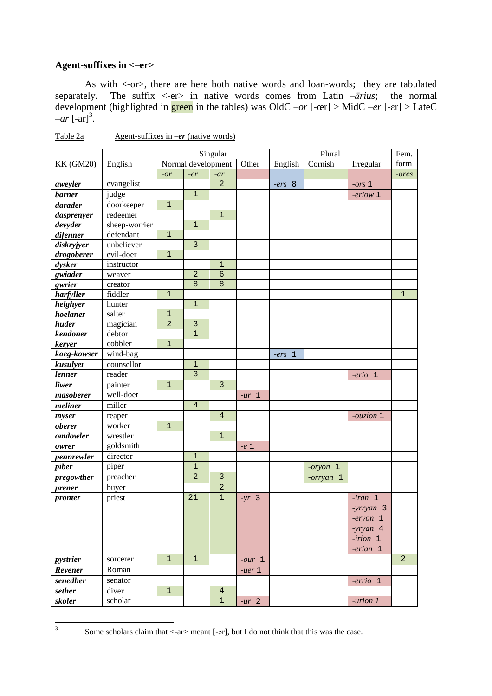## **Agent-suffixes in <–er>**

 As with <-or>, there are here both native words and loan-words; they are tabulated separately. The suffix  $\langle -er \rangle$  in native words comes from Latin  $-\bar{a}$ *rius*; the normal development (highlighted in green in the tables) was OldC –*or* [-œr] > MidC *–er* [-ɛr] > LateC  $-ar$   $[-ar]$ <sup>3</sup>.

|                  |               |                |                    | Singular       |          | Plural   |            |            | Fem.           |
|------------------|---------------|----------------|--------------------|----------------|----------|----------|------------|------------|----------------|
| <b>KK (GM20)</b> | English       |                | Normal development |                | Other    | English  | Cornish    | Irregular  | form           |
|                  |               | $-or$          | $-er$              | $-ar$          |          |          |            |            | $-$ ores       |
| aweyler          | evangelist    |                |                    | $\overline{2}$ |          | $-ers$ 8 |            | $-ors 1$   |                |
| <b>barner</b>    | judge         |                | $\mathbf{1}$       |                |          |          |            | -eriow 1   |                |
| darader          | doorkeeper    | $\mathbf 1$    |                    |                |          |          |            |            |                |
| dasprenyer       | redeemer      |                |                    | $\overline{1}$ |          |          |            |            |                |
| devyder          | sheep-worrier |                | $\mathbf{1}$       |                |          |          |            |            |                |
| difenner         | defendant     | $\mathbf{1}$   |                    |                |          |          |            |            |                |
| diskryjyer       | unbeliever    |                | $\overline{3}$     |                |          |          |            |            |                |
| drogoberer       | evil-doer     | $\mathbf{1}$   |                    |                |          |          |            |            |                |
| dysker           | instructor    |                |                    | $\mathbf{1}$   |          |          |            |            |                |
| gwiader          | weaver        |                | $\overline{2}$     | $\sigma$       |          |          |            |            |                |
| gwrier           | creator       |                | $\boldsymbol{8}$   | $\overline{8}$ |          |          |            |            |                |
| harfyller        | fiddler       | $\mathbf{1}$   |                    |                |          |          |            |            | $\mathbf 1$    |
| helghyer         | hunter        |                | $\mathbf 1$        |                |          |          |            |            |                |
| hoelaner         | salter        | $\mathbf{1}$   |                    |                |          |          |            |            |                |
| huder            | magician      | $\overline{2}$ | $\overline{3}$     |                |          |          |            |            |                |
| kendoner         | debtor        |                | $\overline{1}$     |                |          |          |            |            |                |
| keryer           | cobbler       | $\mathbf{1}$   |                    |                |          |          |            |            |                |
| koeg-kowser      | wind-bag      |                |                    |                |          | $-ers$ 1 |            |            |                |
| kusulyer         | counsellor    |                | $\overline{1}$     |                |          |          |            |            |                |
| lenner           | reader        |                | $\overline{3}$     |                |          |          |            | $-erio 1$  |                |
| liwer            | painter       | $\mathbf{1}$   |                    | $\overline{3}$ |          |          |            |            |                |
| masoberer        | well-doer     |                |                    |                | $-ur$ 1  |          |            |            |                |
| meliner          | miller        |                | $\overline{4}$     |                |          |          |            |            |                |
| myser            | reaper        |                |                    | $\overline{4}$ |          |          |            | -ouzion 1  |                |
| <i>oberer</i>    | worker        | $\mathbf 1$    |                    |                |          |          |            |            |                |
| omdowler         | wrestler      |                |                    | $\mathbf 1$    |          |          |            |            |                |
| owrer            | goldsmith     |                |                    |                | $-e1$    |          |            |            |                |
| pennrewler       | director      |                | $\mathbf 1$        |                |          |          |            |            |                |
| piber            | piper         |                | $\mathbf 1$        |                |          |          | $-oryon$ 1 |            |                |
| pregowther       | preacher      |                | $\overline{a}$     | $\mathbf{3}$   |          |          | -orryan 1  |            |                |
| prener           | buyer         |                |                    | $\overline{2}$ |          |          |            |            |                |
| pronter          | priest        |                | 21                 | $\mathbf{1}$   | $-yr$ 3  |          |            | $-iran$ 1  |                |
|                  |               |                |                    |                |          |          |            | -yrryan 3  |                |
|                  |               |                |                    |                |          |          |            |            |                |
|                  |               |                |                    |                |          |          |            | $-eryon$ 1 |                |
|                  |               |                |                    |                |          |          |            | -yryan 4   |                |
|                  |               |                |                    |                |          |          |            | $-irion$ 1 |                |
|                  |               |                |                    |                |          |          |            | $-erian$ 1 |                |
| pystrier         | sorcerer      | $\mathbf{1}$   | $1\,$              |                | $-our$ 1 |          |            |            | $\overline{a}$ |
| Revener          | Roman         |                |                    |                | $-uer 1$ |          |            |            |                |
| senedher         | senator       |                |                    |                |          |          |            | $-errio$ 1 |                |
| sether           | diver         | $\mathbf{1}$   |                    | $\overline{4}$ |          |          |            |            |                |
| skoler           | scholar       |                |                    | $\mathbf{1}$   | $-ur$ 2  |          |            | -urion 1   |                |

Table 2a Agent-suffixes in *-er* (native words)

 $\overline{a}$ 3

Some scholars claim that <-ar> meant [-ər], but I do not think that this was the case.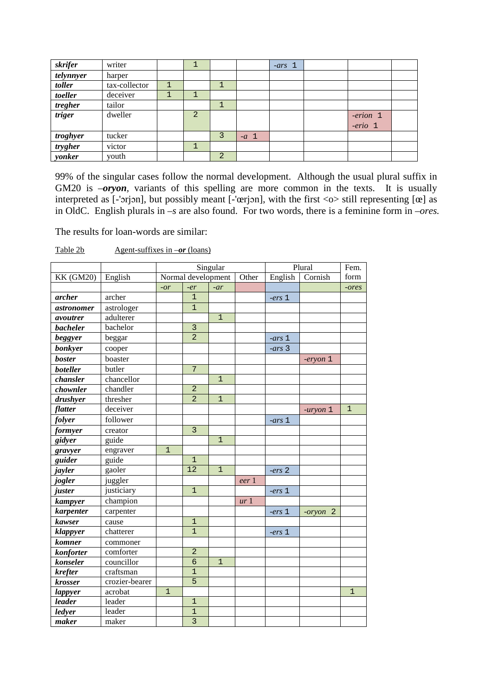| skrifer   | writer        |                |                |       | $-ars$ 1 |            |  |
|-----------|---------------|----------------|----------------|-------|----------|------------|--|
| telynnyer | harper        |                |                |       |          |            |  |
| toller    | tax-collector |                |                |       |          |            |  |
| toeller   | deceiver      | $\mathbf{1}$   |                |       |          |            |  |
| tregher   | tailor        |                |                |       |          |            |  |
| triger    | dweller       | $\overline{2}$ |                |       |          | $-erion$ 1 |  |
|           |               |                |                |       |          | $-erio 1$  |  |
| troghyer  | tucker        |                |                | $-a1$ |          |            |  |
| trygher   | victor        | J.             |                |       |          |            |  |
| yonker    | youth         |                | $\overline{2}$ |       |          |            |  |

99% of the singular cases follow the normal development. Although the usual plural suffix in GM20 is *-oryon*, variants of this spelling are more common in the texts. It is usually interpreted as [-'orjon], but possibly meant [-'œrjon], with the first  $\langle \circ \rangle$  still representing [œ] as in OldC. English plurals in *–s* are also found. For two words, there is a feminine form in *–ores.* 

The results for loan-words are similar:

Table 2b Agent-suffixes in  $-$ *or* (loans)

|                  |                |                |                    | Singular       |                 | Plural   | Fem.          |                |
|------------------|----------------|----------------|--------------------|----------------|-----------------|----------|---------------|----------------|
| <b>KK (GM20)</b> | English        |                | Normal development |                | Other           | English  | Cornish       | form           |
|                  |                | $-or$          | $-er$              | $-ar$          |                 |          |               | -ores          |
| archer           | archer         |                | $\mathbf{1}$       |                |                 | $-ers1$  |               |                |
| astronomer       | astrologer     |                | $\overline{1}$     |                |                 |          |               |                |
| avoutrer         | adulterer      |                |                    | $\mathbf{1}$   |                 |          |               |                |
| <b>bacheler</b>  | bachelor       |                | $\overline{3}$     |                |                 |          |               |                |
| beggyer          | beggar         |                | $\overline{2}$     |                |                 | $-ars_1$ |               |                |
| bonkyer          | cooper         |                |                    |                |                 | $-ars$ 3 |               |                |
| <b>boster</b>    | boaster        |                |                    |                |                 |          | $-$ eryon $1$ |                |
| boteller         | butler         |                | 7                  |                |                 |          |               |                |
| chansler         | chancellor     |                |                    | $\overline{1}$ |                 |          |               |                |
| chownler         | chandler       |                | $\overline{a}$     |                |                 |          |               |                |
| drushyer         | thresher       |                | $\overline{2}$     | $\mathbf{1}$   |                 |          |               |                |
| flatter          | deceiver       |                |                    |                |                 |          | $-uryon 1$    | $\overline{1}$ |
| folyer           | follower       |                |                    |                |                 | $-ars_1$ |               |                |
| formyer          | creator        |                | $\overline{3}$     |                |                 |          |               |                |
| gidyer           | guide          |                |                    | $\overline{1}$ |                 |          |               |                |
| gravyer          | engraver       | $\mathbf{1}$   |                    |                |                 |          |               |                |
| guider           | guide          |                | $\mathbf{1}$       |                |                 |          |               |                |
| jayler           | gaoler         |                | $\overline{12}$    | $\mathbf{1}$   |                 | $-ers2$  |               |                |
| jogler           | juggler        |                |                    |                | eer 1           |          |               |                |
| juster           | justiciary     |                | $\mathbf{1}$       |                |                 | $-ers$ 1 |               |                |
| kampyer          | champion       |                |                    |                | ur <sub>1</sub> |          |               |                |
| karpenter        | carpenter      |                |                    |                |                 | $-ers$ 1 | -oryon 2      |                |
| kawser           | cause          |                | $\mathbf{1}$       |                |                 |          |               |                |
| klappyer         | chatterer      |                | $\mathbf{1}$       |                |                 | $-ers$ 1 |               |                |
| komner           | commoner       |                |                    |                |                 |          |               |                |
| konforter        | comforter      |                | $\overline{a}$     |                |                 |          |               |                |
| konseler         | councillor     |                | $\overline{6}$     | $\mathbf{1}$   |                 |          |               |                |
| krefter          | craftsman      |                | $\mathbf{1}$       |                |                 |          |               |                |
| krosser          | crozier-bearer |                | $\overline{5}$     |                |                 |          |               |                |
| lappyer          | acrobat        | $\overline{1}$ |                    |                |                 |          |               | $\mathbf{1}$   |
| leader           | leader         |                | $\mathbf{1}$       |                |                 |          |               |                |
| ledyer           | leader         |                | $\overline{1}$     |                |                 |          |               |                |
| maker            | maker          |                | $\overline{3}$     |                |                 |          |               |                |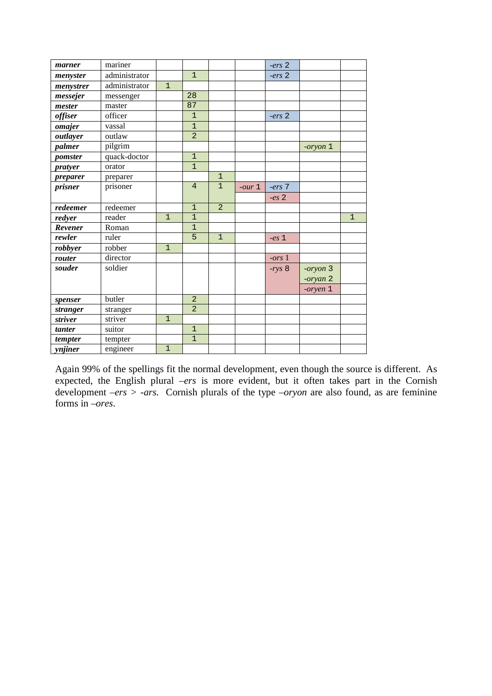| marner         | mariner       |              |                |                |          | $-ers2$  |          |              |
|----------------|---------------|--------------|----------------|----------------|----------|----------|----------|--------------|
| menyster       | administrator |              | $\overline{1}$ |                |          | $-ers$ 2 |          |              |
| menystrer      | administrator | $\mathbf{1}$ |                |                |          |          |          |              |
| messejer       | messenger     |              | 28             |                |          |          |          |              |
| mester         | master        |              | 87             |                |          |          |          |              |
| <i>offiser</i> | officer       |              | $\mathbf{1}$   |                |          | $-ers2$  |          |              |
| omajer         | vassal        |              | $\overline{1}$ |                |          |          |          |              |
| outlayer       | outlaw        |              | $\overline{2}$ |                |          |          |          |              |
| palmer         | pilgrim       |              |                |                |          |          | -oryon 1 |              |
| pomster        | quack-doctor  |              | $\overline{1}$ |                |          |          |          |              |
| pratyer        | orator        |              | $\overline{1}$ |                |          |          |          |              |
| preparer       | preparer      |              |                | $\mathbf{1}$   |          |          |          |              |
| prisner        | prisoner      |              | $\overline{4}$ | $\mathbf{1}$   | $-our 1$ | $-ers$ 7 |          |              |
|                |               |              |                |                |          | $-es2$   |          |              |
| redeemer       | redeemer      |              | $\mathbf{1}$   | $\overline{2}$ |          |          |          |              |
| redyer         | reader        | $\mathbf{1}$ | $\mathbf{1}$   |                |          |          |          | $\mathbf{1}$ |
| Revener        | Roman         |              | $\mathbf{1}$   |                |          |          |          |              |
| rewler         | ruler         |              | 5              | $\mathbf{1}$   |          | $-es1$   |          |              |
| robbyer        | robber        | $\mathbf{1}$ |                |                |          |          |          |              |
| router         | director      |              |                |                |          | $-ors1$  |          |              |
| souder         | soldier       |              |                |                |          | $-rys$ 8 | -oryon 3 |              |
|                |               |              |                |                |          |          | -oryan 2 |              |
|                |               |              |                |                |          |          | -oryen 1 |              |
| spenser        | butler        |              | $\overline{2}$ |                |          |          |          |              |
| stranger       | stranger      |              | $\overline{2}$ |                |          |          |          |              |
| striver        | striver       | $\mathbf{1}$ |                |                |          |          |          |              |
| tanter         | suitor        |              | $\overline{1}$ |                |          |          |          |              |
| tempter        | tempter       |              | $\mathbf{1}$   |                |          |          |          |              |
| ynjiner        | engineer      | $\mathbf{1}$ |                |                |          |          |          |              |

Again 99% of the spellings fit the normal development, even though the source is different. As expected, the English plural *–ers* is more evident, but it often takes part in the Cornish development –*ers > -ars.* Cornish plurals of the type *–oryon* are also found, as are feminine forms in *–ores*.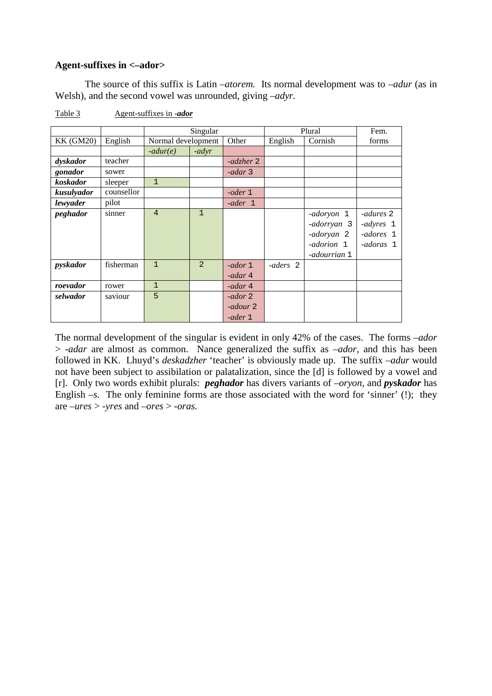#### **Agent-suffixes in <–ador>**

 The source of this suffix is Latin –*atorem.* Its normal development was to –*adur* (as in Welsh), and the second vowel was unrounded, giving –*adyr.*

|                  |            |                    | Singular     |           | Plural   | Fem.         |           |
|------------------|------------|--------------------|--------------|-----------|----------|--------------|-----------|
| <b>KK (GM20)</b> | English    | Normal development |              | Other     | English  | Cornish      | forms     |
|                  |            | $-adur(e)$         | $-adyr$      |           |          |              |           |
| dyskador         | teacher    |                    |              | -adzher 2 |          |              |           |
| gonador          | sower      |                    |              | -adar 3   |          |              |           |
| koskador         | sleeper    | $\mathbf{1}$       |              |           |          |              |           |
| kusulyador       | counsellor |                    |              | -oder $1$ |          |              |           |
| lewyader         | pilot      |                    |              | -ader 1   |          |              |           |
| peghador         | sinner     | $\overline{4}$     | $\mathbf{1}$ |           |          | -adoryon 1   | -adures 2 |
|                  |            |                    |              |           |          | adorryan 3   | -adyres 1 |
|                  |            |                    |              |           |          | -adoryan 2   | -adores 1 |
|                  |            |                    |              |           |          | -adorion 1   | -adoras 1 |
|                  |            |                    |              |           |          | -adourrian 1 |           |
| pyskador         | fisherman  | $\overline{1}$     | 2            | $-ador 1$ | -aders 2 |              |           |
|                  |            |                    |              | -adar 4   |          |              |           |
| roevador         | rower      | $\mathbf{1}$       |              | -adar 4   |          |              |           |
| selwador         | saviour    | 5                  |              | -ador 2   |          |              |           |
|                  |            |                    |              | -adour 2  |          |              |           |
|                  |            |                    |              | -ader 1   |          |              |           |

Table 3 Agent-suffixes in -*ador*

The normal development of the singular is evident in only 42% of the cases. The forms –*ador* > *-adar* are almost as common. Nance generalized the suffix as –*ador*, and this has been followed in KK. Lhuyd's *deskadzher* 'teacher' is obviously made up. The suffix –*adur* would not have been subject to assibilation or palatalization, since the [d] is followed by a vowel and [r]. Only two words exhibit plurals: *peghador* has divers variants of *–oryon,* and *pyskador* has English  $-s$ . The only feminine forms are those associated with the word for 'sinner' (!); they are –*ures* > *-yres* and –*ores* > -*oras.*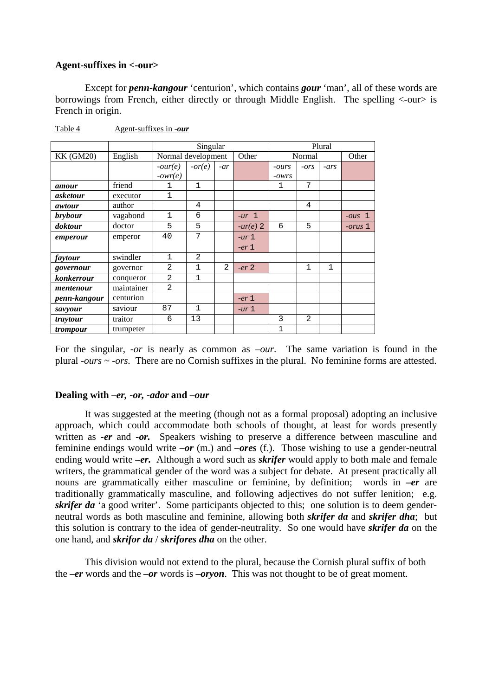#### **Agent-suffixes in <-our>**

 Except for *penn-kangour* 'centurion', which contains *gour* 'man', all of these words are borrowings from French, either directly or through Middle English. The spelling <-our> is French in origin.

|                   |            |                |                    | Plural         |            |              |                |              |                  |
|-------------------|------------|----------------|--------------------|----------------|------------|--------------|----------------|--------------|------------------|
| <b>KK (GM20)</b>  | English    |                | Normal development |                |            | Normal       |                |              | Other            |
|                   |            | $-our(e)$      | $-or(e)$           | $-ar$          |            | $-ours$      | $-ors$         | $-ars$       |                  |
|                   |            | $-owr(e)$      |                    |                |            | $-OWTS$      |                |              |                  |
| amour             | friend     | 1              | 1                  |                |            | $\mathbf{1}$ | 7              |              |                  |
| asketour          | executor   | $\mathbf 1$    |                    |                |            |              |                |              |                  |
| awtour            | author     |                | 4                  |                |            |              | 4              |              |                  |
| brybour           | vagabond   | $\mathbf{1}$   | 6                  |                | $-ur$ 1    |              |                |              | $-ous$ 1         |
| doktour           | doctor     | 5              | 5                  |                | $-ur(e)$ 2 | 6            | 5              |              | <i>corus</i> $1$ |
| emperour          | emperor    | 40             | 7                  |                | $-ur1$     |              |                |              |                  |
|                   |            |                |                    |                | $-er1$     |              |                |              |                  |
| faytour           | swindler   | $\mathbf{1}$   | 2                  |                |            |              |                |              |                  |
| governour         | governor   | $\overline{2}$ | 1                  | $\overline{2}$ | $-er2$     |              | $\mathbf{1}$   | $\mathbf{1}$ |                  |
| <i>konkerrour</i> | conqueror  | $\overline{2}$ | 1                  |                |            |              |                |              |                  |
| mentenour         | maintainer | $\overline{2}$ |                    |                |            |              |                |              |                  |
| penn-kangour      | centurion  |                |                    |                | $-er_1$    |              |                |              |                  |
| savyour           | saviour    | 87             | $\mathbf{1}$       |                | $-ur1$     |              |                |              |                  |
| traytour          | traitor    | 6              | 13                 |                |            | 3            | $\overline{2}$ |              |                  |
| trompour          | trumpeter  |                |                    |                |            | $\mathbf{1}$ |                |              |                  |

Table 4 Agent-suffixes in -*our*

For the singular, -*or* is nearly as common as –*our*. The same variation is found in the plural -*ours ~ -ors.* There are no Cornish suffixes in the plural. No feminine forms are attested.

#### **Dealing with –***er, -or, -ador* **and –***our*

 It was suggested at the meeting (though not as a formal proposal) adopting an inclusive approach, which could accommodate both schools of thought, at least for words presently written as *-er* and *-or*. Speakers wishing to preserve a difference between masculine and feminine endings would write *–or* (m.) and *–ores* (f.). Those wishing to use a gender-neutral ending would write *–er.* Although a word such as *skrifer* would apply to both male and female writers, the grammatical gender of the word was a subject for debate. At present practically all nouns are grammatically either masculine or feminine, by definition; words in *–er* are traditionally grammatically masculine, and following adjectives do not suffer lenition; e.g. *skrifer da* 'a good writer'. Some participants objected to this; one solution is to deem genderneutral words as both masculine and feminine, allowing both *skrifer da* and *skrifer dha*; but this solution is contrary to the idea of gender-neutrality. So one would have *skrifer da* on the one hand, and *skrifor da* / *skrifores dha* on the other.

 This division would not extend to the plural, because the Cornish plural suffix of both the *–er* words and the *–or* words is *–oryon*. This was not thought to be of great moment.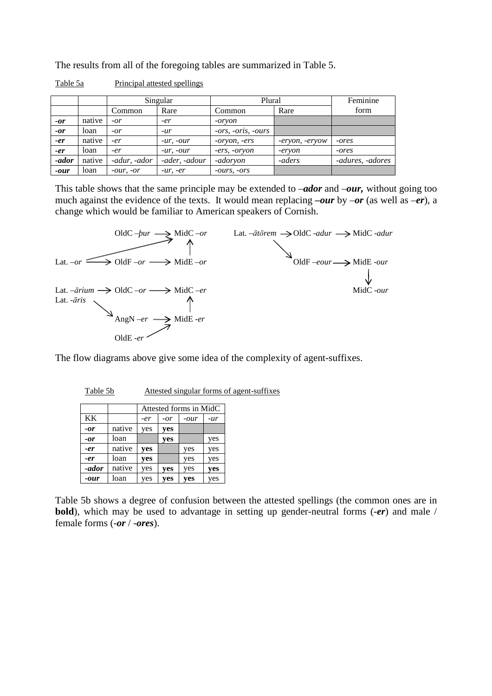The results from all of the foregoing tables are summarized in Table 5.

|        |        | Singular     |                | Plural               | Feminine       |                  |
|--------|--------|--------------|----------------|----------------------|----------------|------------------|
|        |        | Common       | Rare           | Common               | Rare           | form             |
| $-or$  | native | $-or$        | -er            | -oryon               |                |                  |
| $-or$  | loan   | $-or$        | $-ur$          | $-ors, -oris, -ours$ |                |                  |
| $-er$  | native | $-er$        | $-ur$ , $-our$ | -oryon, -ers         | -eryon, -eryow | -ores            |
| $-er$  | loan   | -er          | $-ur$ , $-our$ | -ers, -oryon         | -eryon         | -ores            |
| -ador  | native | -adur, -ador | -ader, -adour  | -adoryon             | -aders         | -adures, -adores |
| $-our$ | loan   | $-Our, -or$  | $-ur, -er$     | $-ours$ , $-ors$     |                |                  |

Table 5a Principal attested spellings

This table shows that the same principle may be extended to –*ador* and –*our,* without going too much against the evidence of the texts. It would mean replacing *–our* by –*or* (as well as –*er*), a change which would be familiar to American speakers of Cornish.



The flow diagrams above give some idea of the complexity of agent-suffixes.

| able |
|------|
|------|

Attested singular forms of agent-suffixes

|       |        | Attested forms in MidC |       |      |     |  |  |  |  |
|-------|--------|------------------------|-------|------|-----|--|--|--|--|
| KK    |        | -er                    | $-or$ | -our | -ur |  |  |  |  |
| -or   | native | yes                    | yes   |      |     |  |  |  |  |
| -or   | loan   |                        | yes   |      | yes |  |  |  |  |
| -er   | native | yes                    |       | yes  | yes |  |  |  |  |
| -er   | loan   | yes                    |       | yes  | yes |  |  |  |  |
| -ador | native | yes                    | yes   | yes  | yes |  |  |  |  |
| -our  | loan   | yes                    | yes   | yes  | yes |  |  |  |  |

Table 5b shows a degree of confusion between the attested spellings (the common ones are in **bold**), which may be used to advantage in setting up gender-neutral forms (-*er*) and male / female forms (-*or* / -*ores*).